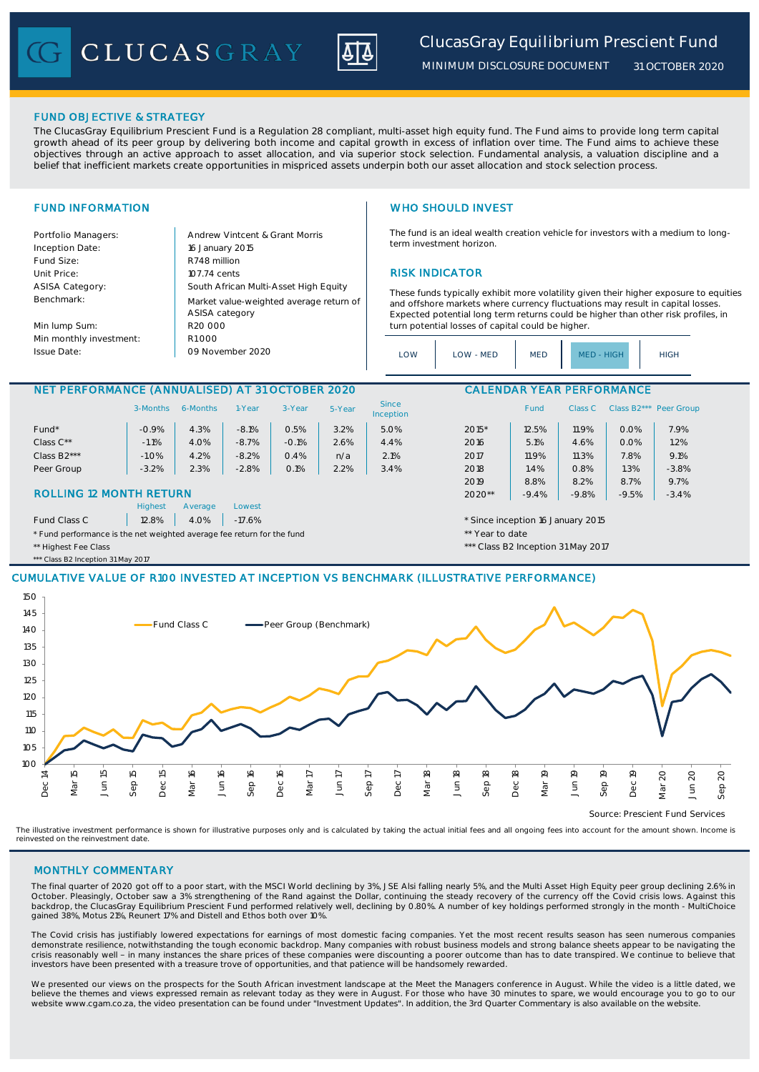CLUCASGRAY



*MINIMUM DISCLOSURE DOCUMENT*

*31 OCTOBER 2020*

## FUND OBJECTIVE & STRATEGY

The ClucasGray Equilibrium Prescient Fund is a Regulation 28 compliant, multi-asset high equity fund. The Fund aims to provide long term capital growth ahead of its peer group by delivering both income and capital growth in excess of inflation over time. The Fund aims to achieve these objectives through an active approach to asset allocation, and via superior stock selection. Fundamental analysis, a valuation discipline and a belief that inefficient markets create opportunities in mispriced assets underpin both our asset allocation and stock selection process.

Portfolio Managers: <br>Andrew Vintcent & Grant Morris Inception Date: Fund Size: R748 million ASISA Category: Benchmark:

Min lump Sum: Min monthly investment: Issue Date:

Unit Price: 107.74 cents 107.74 cents 107.74 cents RISK INDICATOR South African Multi-Asset High Equity 16 January 2015 R20 000 Market value-weighted average return of ASISA category 09 November 2020  $R1000$ 

# FUND INFORMATION WHO SHOULD INVEST

The fund is an ideal wealth creation vehicle for investors with a medium to longterm investment horizon.

These funds typically exhibit more volatility given their higher exposure to equities and offshore markets where currency fluctuations may result in capital losses. Expected potential long term returns could be higher than other risk profiles, in turn potential losses of capital could be higher.

| LOW | LOW - MED | <b>MED</b> | MED - HIGH | <b>HIGH</b> |
|-----|-----------|------------|------------|-------------|
|-----|-----------|------------|------------|-------------|

## NET PERFORMANCE (ANNUALISED) AT 31 OCTOBER 2020 CALENDAR YEAR PERFORMANCE

|                                                                        | 3-Months | 6-Months | 1-Year   | 3-Year  | 5-Year          | <b>Since</b><br>Inception |                                   | <b>Fund</b> | Class C | Class B <sub>2</sub> *** | Peer Group |  |
|------------------------------------------------------------------------|----------|----------|----------|---------|-----------------|---------------------------|-----------------------------------|-------------|---------|--------------------------|------------|--|
| Fund*                                                                  | $-0.9%$  | 4.3%     | $-8.1%$  | 0.5%    | 3.2%            | 5.0%                      | $2015*$                           | 12.5%       | 11.9%   | 0.0%                     | 7.9%       |  |
| Class C**                                                              | $-1.1%$  | 4.0%     | $-8.7%$  | $-0.1%$ | 2.6%            | 4.4%                      | 2016                              | 5.1%        | 4.6%    | 0.0%                     | 1.2%       |  |
| Class B2***                                                            | $-1.0%$  | 4.2%     | $-8.2%$  | 0.4%    | n/a             | 2.1%                      | 2017                              | 11.9%       | 11.3%   | 7.8%                     | 9.1%       |  |
| Peer Group                                                             | $-3.2%$  | 2.3%     | $-2.8%$  | 0.1%    | 2.2%            | 3.4%                      | 2018                              | 1.4%        | 0.8%    | 1.3%                     | $-3.8%$    |  |
|                                                                        |          |          |          |         |                 |                           | 2019                              | 8.8%        | 8.2%    | 8.7%                     | 9.7%       |  |
| <b>ROLLING 12 MONTH RETURN</b>                                         |          |          |          |         | $2020**$        | $-9.4%$                   | $-9.8%$                           | $-9.5%$     | $-3.4%$ |                          |            |  |
|                                                                        | Highest  | Average  | Lowest   |         |                 |                           |                                   |             |         |                          |            |  |
| Fund Class C                                                           | 12.8%    | 4.0%     | $-17.6%$ |         |                 |                           | * Since inception 16 January 2015 |             |         |                          |            |  |
| * Fund performance is the net weighted average fee return for the fund |          |          |          |         | ** Year to date |                           |                                   |             |         |                          |            |  |

\*\* Highest Fee Class **\*\*\*** Class **1999** Class **\*\*\*** Class B2 Inception 31 May 2017

\*\* Class B2 Inception 31 May 2017

## CUMULATIVE VALUE OF R100 INVESTED AT INCEPTION VS BENCHMARK (ILLUSTRATIVE PERFORMANCE)



Source: Prescient Fund Services

The illustrative investment performance is shown for illustrative purposes only and is calculated by taking the actual initial fees and all ongoing fees into account for the amount shown. Income is reinvested on the reinvestment date.

## MONTHLY COMMENTARY

The final quarter of 2020 got off to a poor start, with the MSCI World declining by 3%, JSE Alsi falling nearly 5%, and the Multi Asset High Equity peer group declining 2.6% in October. Pleasingly, October saw a 3% strengthening of the Rand against the Dollar, continuing the steady recovery of the currency off the Covid crisis lows. Against this backdrop, the ClucasGray Equilibrium Prescient Fund performed relatively well, declining by 0.80%. A number of key holdings performed strongly in the month - MultiChoice gained 38%, Motus 21%, Reunert 17% and Distell and Ethos both over 10%.

The Covid crisis has justifiably lowered expectations for earnings of most domestic facing companies. Yet the most recent results season has seen numerous companies demonstrate resilience, notwithstanding the tough economic backdrop. Many companies with robust business models and strong balance sheets appear to be navigating the<br>crisis reasonably well - in many instances the share pri investors have been presented with a treasure trove of opportunities, and that patience will be handsomely rewarded.

We presented our views on the prospects for the South African investment landscape at the Meet the Managers conference in August. While the video is a little dated, we<br>believe the themes and views expressed remain as relev website www.cgam.co.za, the video presentation can be found under "Investment Updates". In addition, the 3rd Quarter Commentary is also available on the website.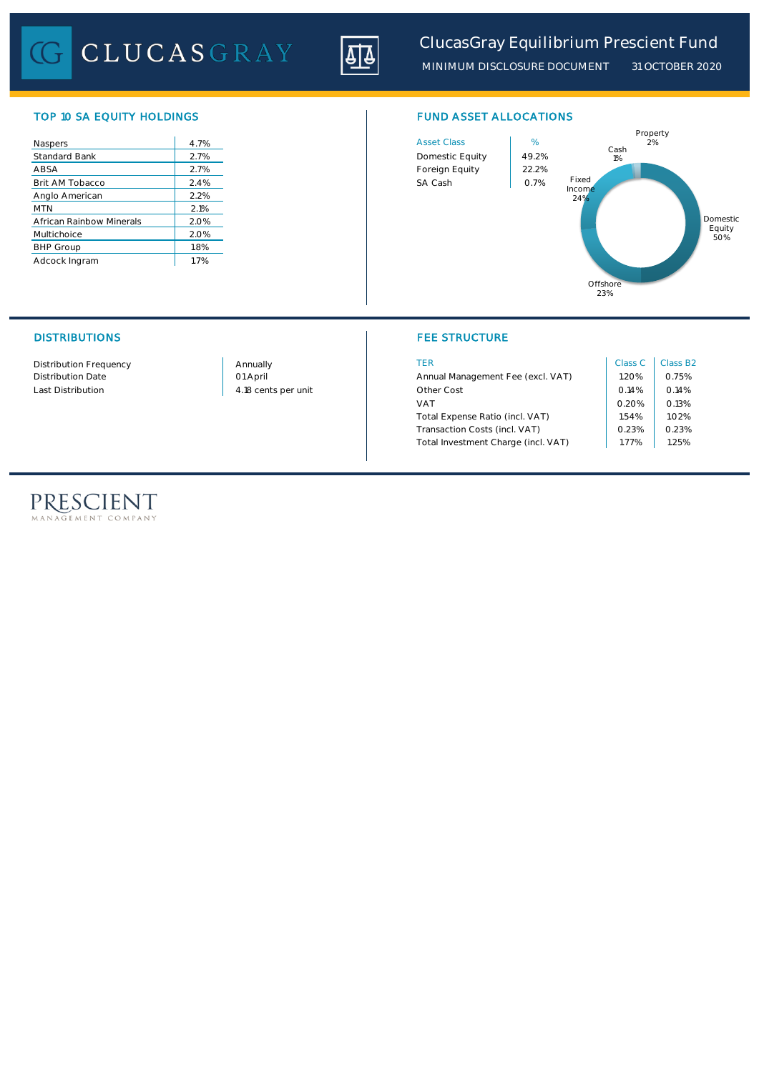CLUCASGRAY



*MINIMUM DISCLOSURE DOCUMENT 31 OCTOBER 2020*

Domestic Equity 50%

# TOP 10 SA EQUITY HOLDINGS FUND ASSET ALLOCATIONS

| Naspers                  | 4.7% | <b>Asset Class</b> | %     |
|--------------------------|------|--------------------|-------|
| Standard Bank            | 2.7% | Domestic Equity    | 49.29 |
| ABSA                     | 2.7% | Foreign Equity     | 22.29 |
| Brit AM Tobacco          | 2.4% | SA Cash            | 0.7%  |
| Anglo American           | 2.2% |                    |       |
| <b>MTN</b>               | 2.1% |                    |       |
| African Rainbow Minerals | 2.0% |                    |       |
| Multichoice              | 2.0% |                    |       |
| <b>BHP Group</b>         | 1.8% |                    |       |
| Adcock Ingram            | 1.7% |                    |       |



## DISTRIBUTIONS FEE STRUCTURE

| Distribution Frequency   | Annually            | TER                                 | Class C | Class B <sub>2</sub> |
|--------------------------|---------------------|-------------------------------------|---------|----------------------|
| <b>Distribution Date</b> | 01 April            | Annual Management Fee (excl. VAT)   | .20%    | 0.75%                |
| Last Distribution        | 4.18 cents per unit | Other Cost                          | 0.14%   | O.14%                |
|                          |                     | VA <sub>1</sub>                     | 0.20%   | 0.13%                |
|                          |                     | Total Expense Ratio (incl. VAT)     | 1.54%   | 1.02%                |
|                          |                     | Transaction Costs (incl. VAT)       | 0.23%   | 0.23%                |
|                          |                     | Total Investment Charge (incl. VAT) | .77%    | .25%                 |